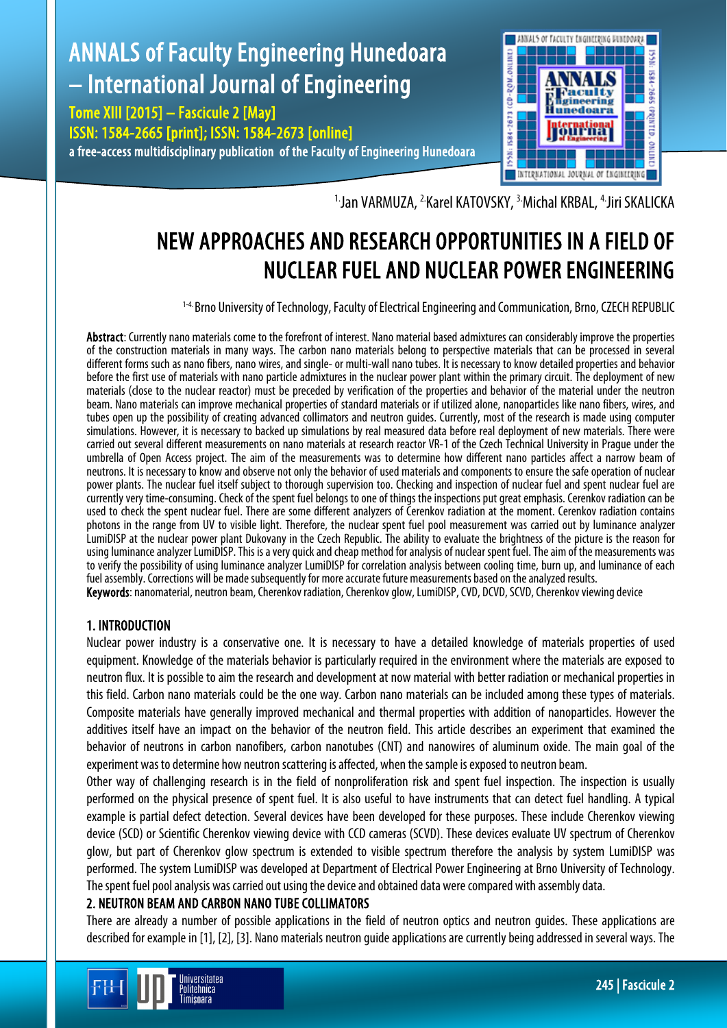#### **JANALS OF FACULTY ENGINEERING BUNEDOARA FOR** ANNALS of Faculty Engineering Hunedoara 1998: ISB4-2673 (CD-ROM.ONLINE – International Journal of Engineering 'aculty *<u>igineering</u>* Tome XIII [2015] – Fascicule 2 [May] Hunedoara ISSN: 1584-2665 [print]; ISSN: 1584-2673 [online] a free-access multidisciplinary publication of the Faculty of Engineering Hunedoara



<sup>1.</sup>Jan VARMUZA, <sup>2.</sup>Karel KATOVSKY, <sup>3.</sup>Michal KRBAL, <sup>4.</sup>Jiri SKALICKA

# NEW APPROACHES AND RESEARCH OPPORTUNITIES IN A FIELD OF NUCLEAR FUEL AND NUCLEAR POWER ENGINEERING

<sup>1-4.</sup> Brno University of Technology, Faculty of Electrical Engineering and Communication, Brno, CZECH REPUBLIC

Abstract: Currently nano materials come to the forefront of interest. Nano material based admixtures can considerably improve the properties of the construction materials in many ways. The carbon nano materials belong to perspective materials that can be processed in several different forms such as nano fibers, nano wires, and single-or multi-wall nano tubes. It is necessary to know detailed properties and behavior before the first use of materials with nano particle admixtures in the nuclear power plant within the primary circuit. The deployment of new materials (close to the nuclear reactor) must be preceded by verification of the properties and behavior of the material under the neutron beam. Nano materials can improve mechanical properties of standard materials or if utilized alone, nanoparticles like nano fibers, wires, and tubes open up the possibility of creating advanced collimators and neutron guides. Currently, most of the research is made using computer simulations. However, it is necessary to backed up simulations by real measured data before real deployment of new materials. There were carried out several different measurements on nano materials at research reactor VR-1 of the Czech Technical University in Prague under the umbrella of Open Access project. The aim of the measurements was to determine how different nano particles affect a narrow beam of neutrons. It is necessary to know and observe not only the behavior of used materials and components to ensure the safe operation of nuclear power plants. The nuclear fuel itself subject to thorough supervision too. Checking and inspection of nuclear fuel and spent nuclear fuel are currently very time-consuming. Check of the spent fuel belongs to one of things the inspections put great emphasis. Cerenkov radiation can be used to check the spent nuclear fuel. There are some different analyzers of Cerenkov radiation at the moment. Cerenkov radiation contains photons in the range from UV to visible light. Therefore, the nuclear spent fuel pool measurement was carried out by luminance analyzer LumiDISP at the nuclear power plant Dukovany in the Czech Republic. The ability to evaluate the brightness of the picture is the reason for using luminance analyzer LumiDISP. This is a very quick and cheap method for analysis of nuclear spent fuel. The aim of the measurements was to verify the possibility of using luminance analyzer LumiDISP for correlation analysis between cooling time, burn up, and luminance of each fuel assembly. Corrections will be made subsequently for more accurate future measurements based on the analyzed results. Keywords: nanomaterial, neutron beam, Cherenkov radiation, Cherenkov glow, LumiDISP, CVD, DCVD, SCVD, Cherenkov viewing device

# 1. INTRODUCTION

Nuclear power industry is a conservative one. It is necessary to have a detailed knowledge of materials properties of used equipment. Knowledge of the materials behavior is particularly required in the environment where the materials are exposed to neutron flux. It is possible to aim the research and development at now material with better radiation or mechanical properties in this field. Carbon nano materials could be the one way. Carbon nano materials can be included among these types of materials. Composite materials have generally improved mechanical and thermal properties with addition of nanoparticles. However the additives itself have an impact on the behavior of the neutron field. This article describes an experiment that examined the behavior of neutrons in carbon nanofibers, carbon nanotubes (CNT) and nanowires of aluminum oxide. The main goal of the experiment was to determine how neutron scattering is affected, when the sample is exposed to neutron beam.

Other way of challenging research is in the field of nonproliferation risk and spent fuel inspection. The inspection is usually performed on the physical presence of spent fuel. It is also useful to have instruments that can detect fuel handling. A typical example is partial defect detection. Several devices have been developed for these purposes. These include Cherenkov viewing device (SCD) or Scientific Cherenkov viewing device with CCD cameras (SCVD). These devices evaluate UV spectrum of Cherenkov glow, but part of Cherenkov glow spectrum is extended to visible spectrum therefore the analysis by system LumiDISP was performed. The system LumiDISP was developed at Department of Electrical Power Engineering at Brno University of Technology. The spent fuel pool analysis was carried out using the device and obtained data were compared with assembly data.

# 2. NEUTRON BEAM AND CARBON NANO TUBE COLLIMATORS

There are already a number of possible applications in the field of neutron optics and neutron guides. These applications are described for example in [1], [2], [3]. Nano materials neutron guide applications are currently being addressed in several ways. The

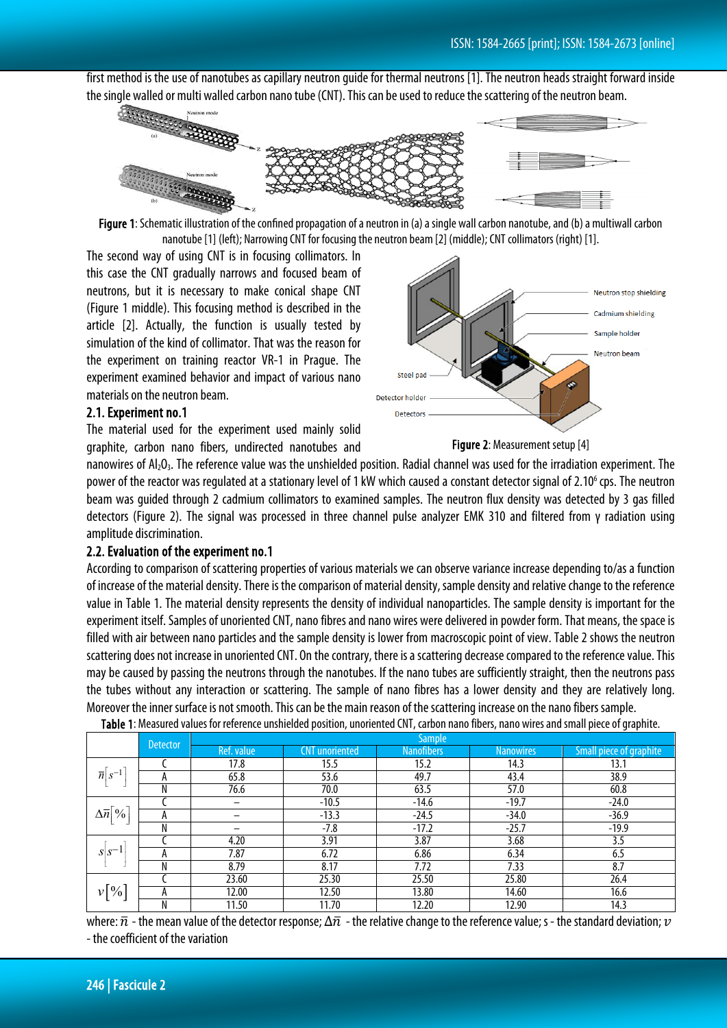first method is the use of nanotubes as capillary neutron guide for thermal neutrons [1]. The neutron heads straight forward inside the single walled or multi walled carbon nano tube (CNT). This can be used to reduce the scattering of the neutron beam.



<span id="page-1-0"></span>Figure 1: Schematic illustration of the confined propagation of a neutron in (a) a single wall carbon nanotube, and (b) a multiwall carbon nanotube [1] (left); Narrowing CNT for focusing the neutron beam [2] (middle); CNT collimators (right) [1].

The second way of using CNT is in focusing collimators. In this case the CNT gradually narrows and focused beam of neutrons, but it is necessary to make conical shape CNT [\(Figure](#page-1-0) 1 middle). This focusing method is described in the article [2]. Actually, the function is usually tested by simulation of the kind of collimator. That was the reason for the experiment on training reactor VR-1 in Prague. The experiment examined behavior and impact of various nano materials on the neutron beam.



#### 2.1. Experiment no.1

The material used for the experiment used mainly solid graphite, carbon nano fibers, undirected nanotubes and



nanowires of Al<sub>2</sub>O<sub>3</sub>. The reference value was the unshielded position. Radial channel was used for the irradiation experiment. The power of the reactor was regulated at a stationary level of 1 kW which caused a constant detector signal of 2.10<sup>6</sup> cps. The neutron beam was guided through 2 cadmium collimators to examined samples. The neutron flux density was detected by 3 gas filled detectors (Figure 2). The signal was processed in three channel pulse analyzer EMK 310 and filtered from γ radiation using amplitude discrimination.

#### 2.2. Evaluation of the experiment no.1

According to comparison of scattering properties of various materials we can observe variance increase depending to/as a function of increase of the material density. There is the comparison of material density, sample density and relative change to the reference value in Table 1. The material density represents the density of individual nanoparticles. The sample density is important for the experiment itself. Samples of unoriented CNT, nano fibres and nano wires were delivered in powder form. That means, the space is filled with air between nano particles and the sample density is lower from macroscopic point of view. Table 2 shows the neutron scattering does not increase in unoriented CNT. On the contrary, there is a scattering decrease compared to the reference value. This may be caused by passing the neutrons through the nanotubes. If the nano tubes are sufficiently straight, then the neutrons pass the tubes without any interaction or scattering. The sample of nano fibres has a lower density and they are relatively long. Moreover the inner surface is not smooth. This can be the main reason of the scattering increase on the nano fibers sample.

|  | Table 1: Measured values for reference unshielded position, unoriented CNT, carbon nano fibers, nano wires and small piece of graphite. |  |
|--|-----------------------------------------------------------------------------------------------------------------------------------------|--|
|  |                                                                                                                                         |  |

|                         | Detector | <b>Sample</b> |                       |                   |                  |                                |
|-------------------------|----------|---------------|-----------------------|-------------------|------------------|--------------------------------|
|                         |          | Ref. value    | <b>CNT</b> unoriented | <b>Nanofibers</b> | <b>Nanowires</b> | <b>Small piece of graphite</b> |
| $\overline{n} s^{-1}$   |          | 17.8          | 15.5                  | 15.2              | 14.3             | 13.1                           |
|                         | A        | 65.8          | 53.6                  | 49.7              | 43.4             | 38.9                           |
|                         | Ν        | 76.6          | 70.0                  | 63.5              | 57.0             | 60.8                           |
| $\Delta \overline{n}$ % |          | -             | $-10.5$               | $-14.6$           | $-19.7$          | $-24.0$                        |
|                         | A        |               | $-13.3$               | $-24.5$           | $-34.0$          | $-36.9$                        |
|                         | Ν        |               | $-7.8$                | $-17.2$           | $-25.7$          | $-19.9$                        |
| $S\vert S^{-1}$         |          | 4.20          | 3.91                  | 3.87              | 3.68             | 3.5                            |
|                         | А        | 7.87          | 6.72                  | 6.86              | 6.34             | 6.5                            |
|                         | Ν        | 8.79          | 8.17                  | 7.72              | 7.33             | 8.7                            |
| $\nu$ [%]               |          | 23.60         | 25.30                 | 25.50             | 25.80            | 26.4                           |
|                         | A        | 12.00         | 12.50                 | 13.80             | 14.60            | 16.6                           |
|                         | Ν        | 11.50         | 11.70                 | 12.20             | 12.90            | 14.3                           |

where:  $\bar{n}$  - the mean value of the detector response;  $\Delta \bar{n}$  - the relative change to the reference value; s - the standard deviation;  $v$ - the coefficient of the variation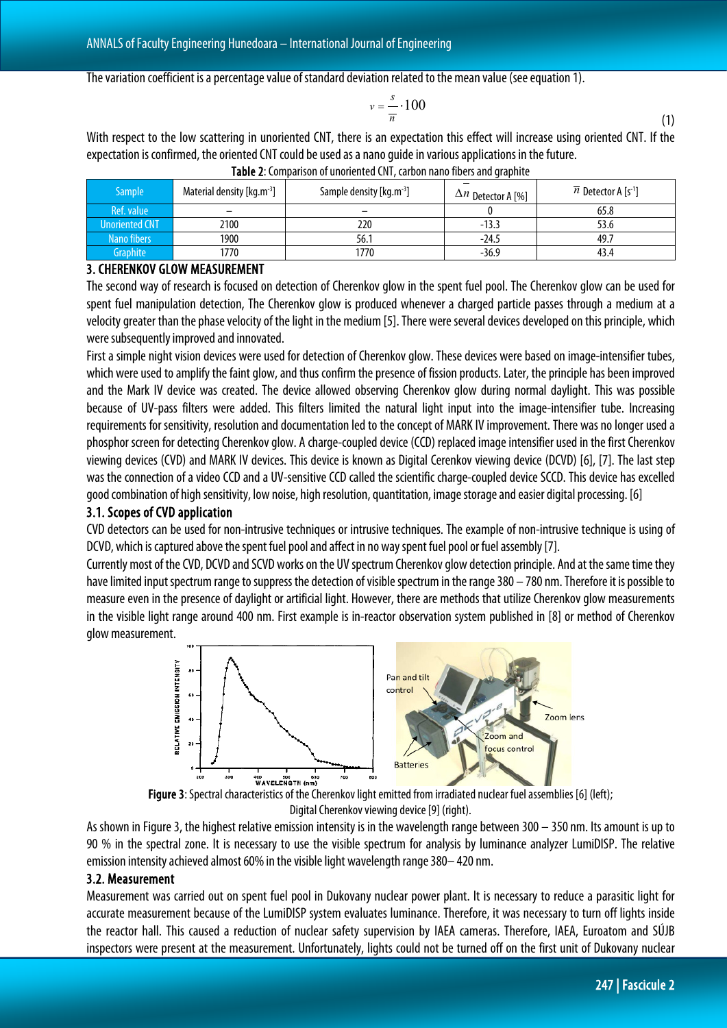The variation coefficient is a percentage value of standard deviation related to the mean value (see equation 1).

$$
v = \frac{s}{n} \cdot 100\tag{1}
$$

With respect to the low scattering in unoriented CNT, there is an expectation this effect will increase using oriented CNT. If the expectation is confirmed, the oriented CNT could be used as a nano guide in various applications in the future.

<span id="page-2-0"></span>

| <b>Sample</b>         | Material density $\left[\text{kg}.\text{m}^3\right]$ | Sample density $\left[\text{kg} \cdot \text{m}^{-3}\right]$ | $\Delta n$ Detector A [%] | $\overline{n}$ Detector A [s <sup>-1</sup> ] |
|-----------------------|------------------------------------------------------|-------------------------------------------------------------|---------------------------|----------------------------------------------|
| Ref. value            | -                                                    | -                                                           |                           | 65.8                                         |
| <b>Unoriented CNT</b> | 2100                                                 | 220                                                         | $-13.3$                   | 53.6                                         |
| Nano fibers           | 1900                                                 | 56.1                                                        | $-24.5$                   | 49.7                                         |
| Graphite              | 1770                                                 | 1770                                                        | $-36.9$                   | 43.4                                         |

Table 2: Comparison of unoriented CNT, carbon nano fibers and graphite

#### 3. CHERENKOV GLOW MEASUREMENT

The second way of research is focused on detection of Cherenkov glow in the spent fuel pool. The Cherenkov glow can be used for spent fuel manipulation detection, The Cherenkov glow is produced whenever a charged particle passes through a medium at a velocity greater than the phase velocity of the light in the medium [5]. There were several devices developed on this principle, which were subsequently improved and innovated.

First a simple night vision devices were used for detection of Cherenkov glow. These devices were based on image-intensifier tubes, which were used to amplify the faint glow, and thus confirm the presence of fission products. Later, the principle has been improved and the Mark IV device was created. The device allowed observing Cherenkov glow during normal daylight. This was possible because of UV-pass filters were added. This filters limited the natural light input into the image-intensifier tube. Increasing requirements for sensitivity, resolution and documentation led to the concept of MARK IV improvement. There was no longer used a phosphor screen for detecting Cherenkov glow. A charge-coupled device (CCD) replaced image intensifier used in the first Cherenkov viewing devices (CVD) and MARK IV devices. This device is known as Digital Cerenkov viewing device (DCVD) [6], [7]. The last step was the connection of a video CCD and a UV-sensitive CCD called the scientific charge-coupled device SCCD. This device has excelled good combination of high sensitivity, low noise, high resolution, quantitation, image storage and easier digital processing. [6]

#### 3.1. Scopes of CVD application

CVD detectors can be used for non-intrusive techniques or intrusive techniques. The example of non-intrusive technique is using of DCVD, which is captured above the spent fuel pool and affect in no way spent fuel pool or fuel assembly [7].

Currently most of the CVD, DCVD and SCVD works on the UV spectrum Cherenkov glow detection principle. And at the same time they have limited input spectrum range to suppress the detection of visible spectrum in the range 380 – 780 nm. Therefore it is possible to measure even in the presence of daylight or artificial light. However, there are methods that utilize Cherenkov glow measurements in the visible light range around 400 nm. First example is in-reactor observation system published in [8] or method of Cherenkov glow measurement.





<span id="page-2-1"></span>As shown in Figure 3, the highest relative emission intensity is in the wavelength range between 300 – 350 nm. Its amount is up to 90 % in the spectral zone. It is necessary to use the visible spectrum for analysis by luminance analyzer LumiDISP. The relative emission intensity achieved almost 60% in the visible light wavelength range 380– 420 nm.

### 3.2. Measurement

Measurement was carried out on spent fuel pool in Dukovany nuclear power plant. It is necessary to reduce a parasitic light for accurate measurement because of the LumiDISP system evaluates luminance. Therefore, it was necessary to turn off lights inside the reactor hall. This caused a reduction of nuclear safety supervision by IAEA cameras. Therefore, IAEA, Euroatom and SÚJB inspectors were present at the measurement. Unfortunately, lights could not be turned off on the first unit of Dukovany nuclear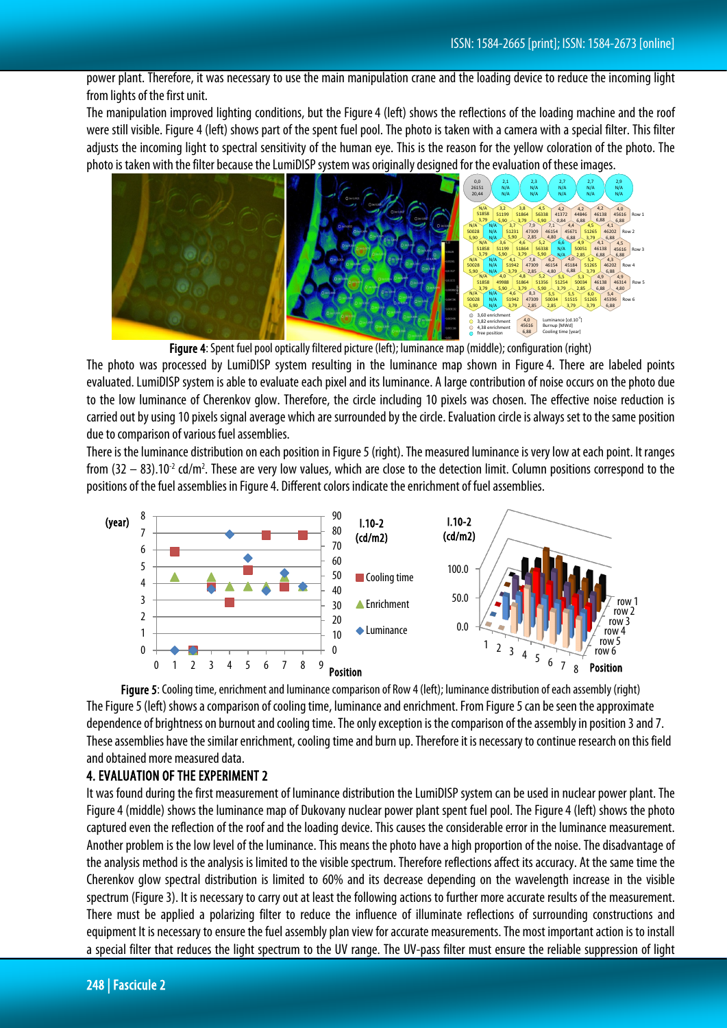power plant. Therefore, it was necessary to use the main manipulation crane and the loading device to reduce the incoming light from lights of the first unit.

The manipulation improved lighting conditions, but the Figure 4 (left) shows the reflections of the loading machine and the roof were still visible. Figure 4 (left) shows part of the spent fuel pool. The photo is taken with a camera with a special filter. This filter adjusts the incoming light to spectral sensitivity of the human eye. This is the reason for the yellow coloration of the photo. The photo is taken with the filter because the LumiDISP system was originally designed for the evaluation of these images.



Figure 4: Spent fuel pool optically filtered picture (left); luminance map (middle); configuration (right)

<span id="page-3-0"></span>The photo was processed by LumiDISP system resulting in the luminance map shown in [Figure4.](#page-3-0) There are labeled points evaluated. LumiDISP system is able to evaluate each pixel and its luminance. A large contribution of noise occurs on the photo due to the low luminance of Cherenkov glow. Therefore, the circle including 10 pixels was chosen. The effective noise reduction is carried out by using 10 pixels signal average which are surrounded by the circle. Evaluation circle is always set to the same position due to comparison of various fuel assemblies.

There is the luminance distribution on each position i[n Figure5\(](#page-3-1)right). The measured luminance is very low at each point. It ranges from (32  $-$  83).10<sup>-2</sup> cd/m<sup>2</sup>. These are very low values, which are close to the detection limit. Column positions correspond to the positions of the fuel assemblies in Figure 4. Different colors indicate the enrichment of fuel assemblies.



<span id="page-3-1"></span>Figure 5: Cooling time, enrichment and luminance comparison of Row 4 (left); luminance distribution of each assembly (right) The Figure 5 (left) shows a comparison of cooling time, luminance and enrichment. From Figure 5 can be seen the approximate dependence of brightness on burnout and cooling time. The only exception is the comparison of the assembly in position 3 and 7. These assemblies have the similar enrichment, cooling time and burn up. Therefore it is necessary to continue research on this field and obtained more measured data.

#### 4. EVALUATION OF THE EXPERIMENT 2

It was found during the first measurement of luminance distribution the LumiDISP system can be used in nuclear power plant. The Figure4 (middle) shows the luminance map of Dukovany nuclear power plant spent fuel pool. The Figure4 (left) shows the photo captured even the reflection of the roof and the loading device. This causes the considerable error in the luminance measurement. Another problem is the low level of the luminance. This means the photo have a high proportion of the noise. The disadvantage of the analysis method is the analysis is limited to the visible spectrum. Therefore reflections affect its accuracy. At the same time the Cherenkov glow spectral distribution is limited to 60% and its decrease depending on the wavelength increase in the visible spectrum (Figure 3). It is necessary to carry out at least the following actions to further more accurate results of the measurement. There must be applied a polarizing filter to reduce the influence of illuminate reflections of surrounding constructions and equipment It is necessary to ensure the fuel assembly plan view for accurate measurements. The most important action is to install a special filter that reduces the light spectrum to the UV range. The UV-pass filter must ensure the reliable suppression of light